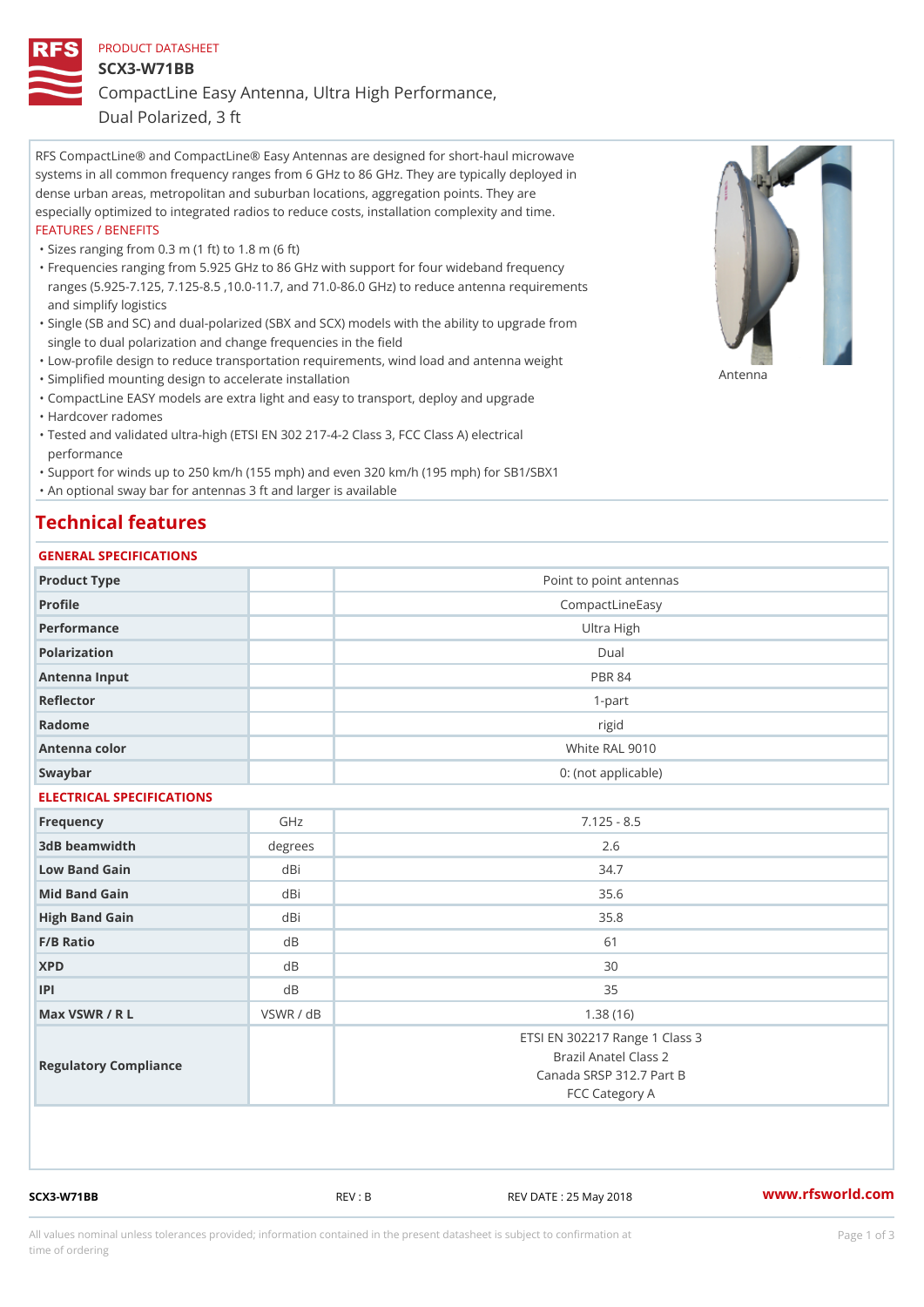### PRODUCT DATASHEET

SCX3-W71BB

CompactLine Easy Antenna, Ultra High Performance,

Dual Polarized, 3 ft

RFS CompactLine® and CompactLine® Easy Antennas are designed for short-haul microwave systems in all common frequency ranges from 6 GHz to 86 GHz. They are typically deployed in dense urban areas, metropolitan and suburban locations, aggregation points. They are especially optimized to integrated radios to reduce costs, installation complexity and time. FEATURES / BENEFITS

"Sizes ranging from 0.3 m (1 ft) to 1.8 m (6 ft)

- Frequencies ranging from 5.925 GHz to 86 GHz with support for four wideband frequency " ranges (5.925-7.125, 7.125-8.5 ,10.0-11.7, and 71.0-86.0 GHz) to reduce antenna requirements and simplify logistics
- Single (SB and SC) and dual-polarized (SBX and SCX) models with the ability to upgrade from " single to dual polarization and change frequencies in the field
- "Low-profile design to reduce transportation requirements, wind load and antenna weight
- "Simplified mounting design to accelerate installation

 "CompactLine EASY models are extra light and easy to transport, deploy and upgrade "Hardcover radomes

Tested and validated ultra-high (ETSI EN 302 217-4-2 Class 3, FCC Class A) electrical " performance

 "Support for winds up to 250 km/h (155 mph) and even 320 km/h (195 mph) for SB1/SBX1 "An optional sway bar for antennas 3 ft and larger is available

## Technical features

### GENERAL SPECIFICATIONS

| OLINLINAL OI LOII IOAIIOINO |                |                                                                                     |  |  |
|-----------------------------|----------------|-------------------------------------------------------------------------------------|--|--|
| Product Type                |                | Point to point antennas                                                             |  |  |
| Profile                     |                | CompactLineEasy                                                                     |  |  |
| Performance                 |                | Ultra High                                                                          |  |  |
| Polarization                |                | $D$ ual                                                                             |  |  |
| Antenna Input               |                | <b>PBR 84</b>                                                                       |  |  |
| Reflector                   |                | $1 - p$ art                                                                         |  |  |
| Radome                      |                | rigid                                                                               |  |  |
| Antenna color               |                | White RAL 9010                                                                      |  |  |
| Swaybar                     |                | 0: (not applicable)                                                                 |  |  |
| ELECTRICAL SPECIFICATIONS   |                |                                                                                     |  |  |
| Frequency                   | GHz            | $7.125 - 8.5$                                                                       |  |  |
| 3dB beamwidth               | degree:        | 2.6                                                                                 |  |  |
| Low Band Gain               | dBi            | 34.7                                                                                |  |  |
| Mid Band Gain               | dBi            | 35.6                                                                                |  |  |
| High Band Gain              | dBi            | 35.8                                                                                |  |  |
| F/B Ratio                   | d <sub>B</sub> | 61                                                                                  |  |  |
| <b>XPD</b>                  | d B            | 30                                                                                  |  |  |
| P                           | d B            | 35                                                                                  |  |  |
| Max VSWR / R L              | VSWR / dB      | 1.38(16)                                                                            |  |  |
| Regulatory Compliance       |                | ETSI EN 302217 Range 1 Class 3<br>Brazil Anatel Class 2<br>Canada SRSP 312.7 Part B |  |  |
|                             |                | FCC Category A                                                                      |  |  |

SCX3-W71BB REV : B REV DATE : 25 May 2018 [www.](https://www.rfsworld.com)rfsworld.com

Antenna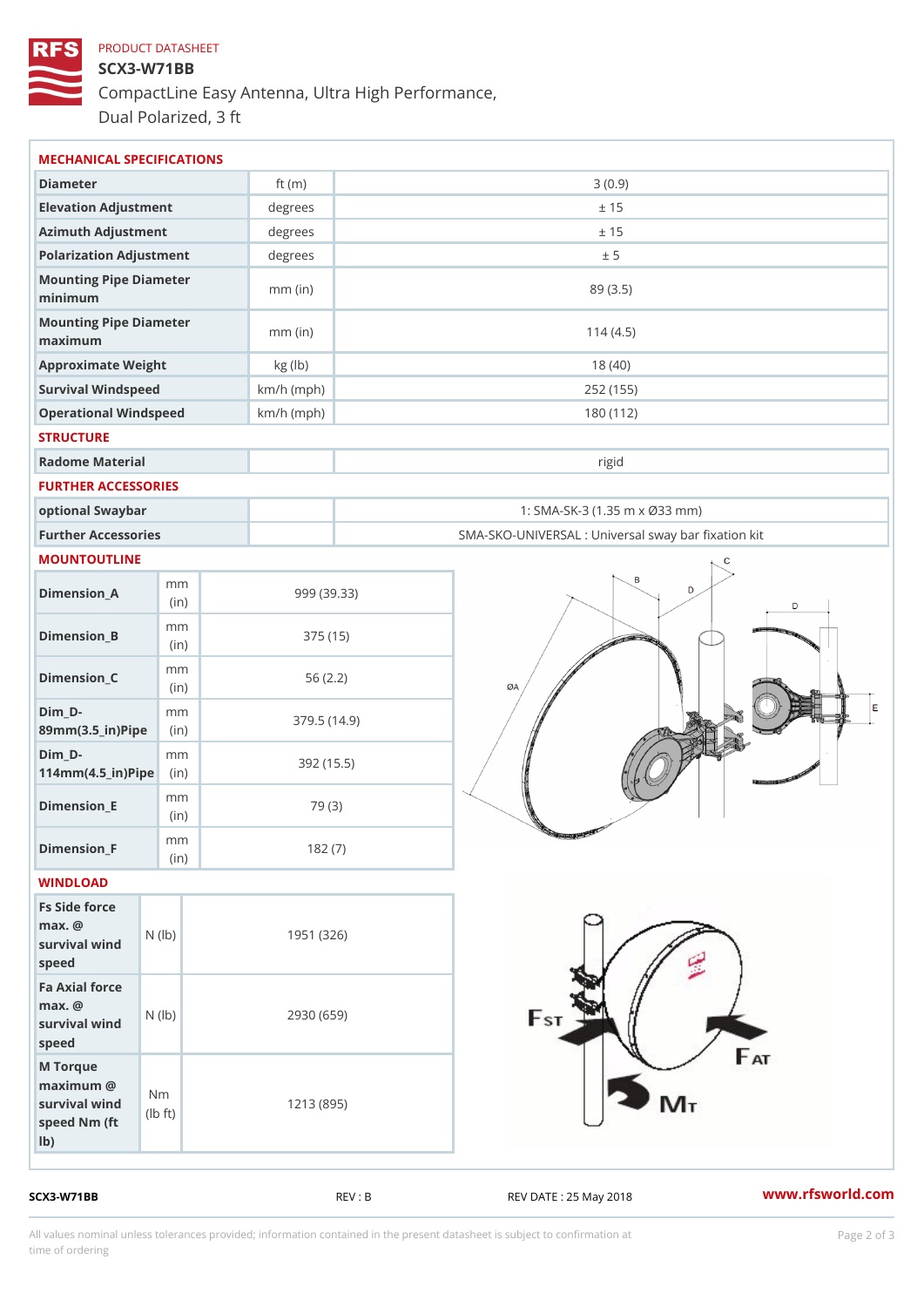## PRODUCT DATASHEET SCX3-W71BB CompactLine Easy Antenna, Ultra High Performance, Dual Polarized, 3 ft

| MECHANICAL SPECIFICATIONS                                                                                   |              |                                                   |
|-------------------------------------------------------------------------------------------------------------|--------------|---------------------------------------------------|
| Diameter                                                                                                    | ft $(m)$     | 3(0.9)                                            |
| Elevation Adjustment                                                                                        | degrees      | ± 15                                              |
| Azimuth Adjustment                                                                                          | degrees      | ± 15                                              |
| Polarization Adjustment                                                                                     | degrees      | ± 5                                               |
| Mounting Pipe Diameter<br>minimum                                                                           | $mm$ (in)    | 89 (3.5)                                          |
| Mounting Pipe Diameter<br>maximum                                                                           | $mm$ (in)    | 114(4.5)                                          |
| Approximate Weight                                                                                          | kg (lb)      | 18(40)                                            |
| Survival Windspeed                                                                                          | $km/h$ (mph) | 252 (155)                                         |
| Operational Windspeed                                                                                       | $km/h$ (mph) | 180 (112)                                         |
| <b>STRUCTURE</b>                                                                                            |              |                                                   |
| Radome Material                                                                                             |              | rigid                                             |
| FURTHER ACCESSORIES                                                                                         |              |                                                   |
| optional Swaybar                                                                                            |              | 1: SMA-SK-3 (1.35 m x Ø33 mm)                     |
| Further Accessories                                                                                         |              | SMA-SKO-UNIVERSAL : Universal sway bar fixation l |
| MOUNTOUTLINE                                                                                                |              |                                                   |
| m m<br>$Dimension_A$<br>(in)                                                                                |              | 999 (39.33)                                       |
| m m<br>$Dimension_B$<br>(in)                                                                                |              | 375 (15)                                          |
| m m<br>$Dimension_C$<br>(in)                                                                                |              | 56(2.2)                                           |
| $Dim_D - D -$<br>m m<br>89mm (3.5_in) Pi(pine                                                               |              | 379.5(14.9)                                       |
| $Dim_D - D -$<br>m m<br>$114$ m m $(4.5$ _ ir ) $\sqrt{$ imp $\ge$                                          |              | 392 (15.5)                                        |
| m m<br>$Dimension$ = E<br>(in)                                                                              |              | 79 (3)                                            |
| m m<br>$Dimen sion_F$<br>(in)                                                                               |              | 182(7)                                            |
| WINDLOAD                                                                                                    |              |                                                   |
| Fs Side force<br>$max.$ @<br>survival wind (1b)<br>speed                                                    | 1951 (326)   |                                                   |
| Fa Axial force<br>$max.$ @<br>survival $w \nmid N$ ( $ b$ )<br>speed                                        |              | 2930 (659)                                        |
| M Torque<br>$maximum$ @<br>N <sub>m</sub><br>survival wind<br>$\dagger$ t)<br>l b<br>speed Nm (ft<br>$1b$ ) |              | 1213 (895)                                        |

SCX3-W71BB REV : B REV : REV DATE : 25 May 2018 WWW.rfsworld.com